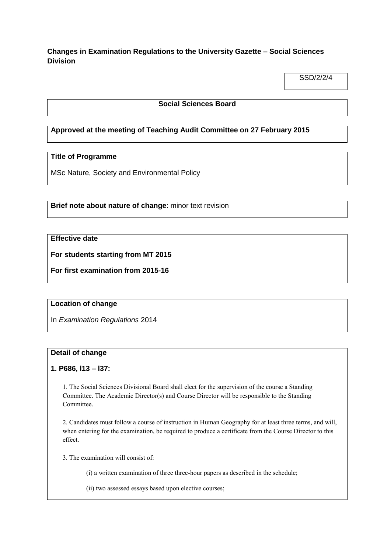**Changes in Examination Regulations to the University Gazette – Social Sciences Division**

SSD/2/2/4

### **Social Sciences Board**

## **Approved at the meeting of Teaching Audit Committee on 27 February 2015**

# **Title of Programme**

MSc Nature, Society and Environmental Policy

**Brief note about nature of change**: minor text revision

## **Effective date**

**For students starting from MT 2015**

**For first examination from 2015-16**

#### **Location of change**

In *Examination Regulations* 2014

#### **Detail of change**

#### **1. P686, l13 – l37:**

1. The Social Sciences Divisional Board shall elect for the supervision of the course a Standing Committee. The Academic Director(s) and Course Director will be responsible to the Standing Committee.

2. Candidates must follow a course of instruction in Human Geography for at least three terms, and will, when entering for the examination, be required to produce a certificate from the Course Director to this effect.

3. The examination will consist of:

(i) a written examination of three three-hour papers as described in the schedule;

(ii) two assessed essays based upon elective courses;